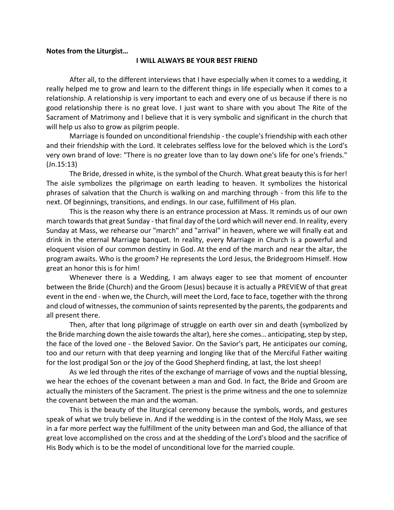## **Notes from the Liturgist…**

## **I WILL ALWAYS BE YOUR BEST FRIEND**

After all, to the different interviews that I have especially when it comes to a wedding, it really helped me to grow and learn to the different things in life especially when it comes to a relationship. A relationship is very important to each and every one of us because if there is no good relationship there is no great love. I just want to share with you about The Rite of the Sacrament of Matrimony and I believe that it is very symbolic and significant in the church that will help us also to grow as pilgrim people.

Marriage is founded on unconditional friendship - the couple's friendship with each other and their friendship with the Lord. It celebrates selfless love for the beloved which is the Lord's very own brand of love: "There is no greater love than to lay down one's life for one's friends." (Jn.15:13)

The Bride, dressed in white, is the symbol of the Church. What great beauty this is for her! The aisle symbolizes the pilgrimage on earth leading to heaven. It symbolizes the historical phrases of salvation that the Church is walking on and marching through - from this life to the next. Of beginnings, transitions, and endings. In our case, fulfillment of His plan.

This is the reason why there is an entrance procession at Mass. It reminds us of our own march towards that great Sunday - that final day of the Lord which will never end. In reality, every Sunday at Mass, we rehearse our "march" and "arrival" in heaven, where we will finally eat and drink in the eternal Marriage banquet. In reality, every Marriage in Church is a powerful and eloquent vision of our common destiny in God. At the end of the march and near the altar, the program awaits. Who is the groom? He represents the Lord Jesus, the Bridegroom Himself. How great an honor this is for him!

Whenever there is a Wedding, I am always eager to see that moment of encounter between the Bride (Church) and the Groom (Jesus) because it is actually a PREVIEW of that great event in the end - when we, the Church, will meet the Lord, face to face, together with the throng and cloud of witnesses, the communion of saints represented by the parents, the godparents and all present there.

Then, after that long pilgrimage of struggle on earth over sin and death (symbolized by the Bride marching down the aisle towards the altar), here she comes… anticipating, step by step, the face of the loved one - the Beloved Savior. On the Savior's part, He anticipates our coming, too and our return with that deep yearning and longing like that of the Merciful Father waiting for the lost prodigal Son or the joy of the Good Shepherd finding, at last, the lost sheep!

As we led through the rites of the exchange of marriage of vows and the nuptial blessing, we hear the echoes of the covenant between a man and God. In fact, the Bride and Groom are actually the ministers of the Sacrament. The priest is the prime witness and the one to solemnize the covenant between the man and the woman.

This is the beauty of the liturgical ceremony because the symbols, words, and gestures speak of what we truly believe in. And if the wedding is in the context of the Holy Mass, we see in a far more perfect way the fulfillment of the unity between man and God, the alliance of that great love accomplished on the cross and at the shedding of the Lord's blood and the sacrifice of His Body which is to be the model of unconditional love for the married couple.